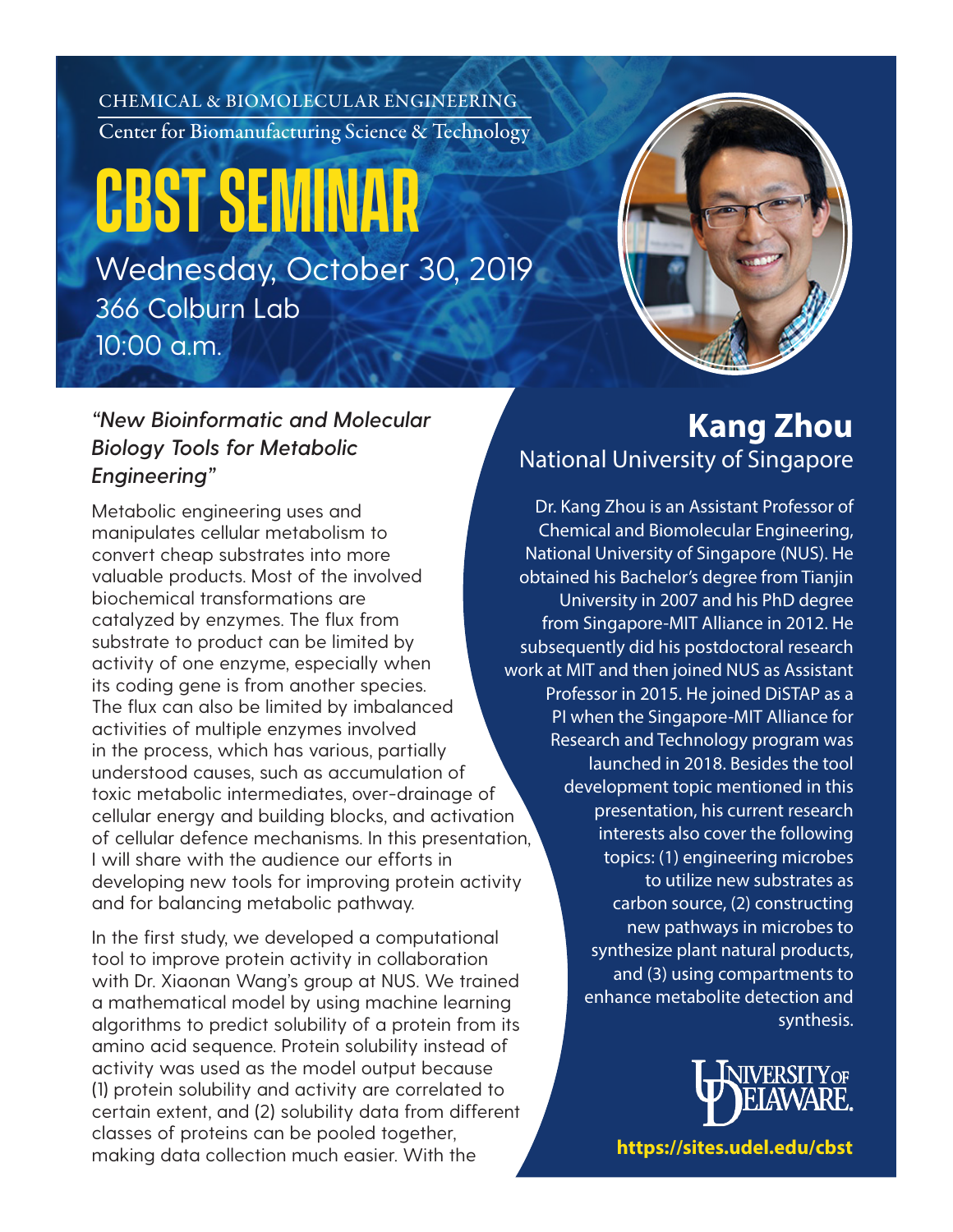CHEMICAL & BIOMOLECULAR ENGINEERING Center for Biomanufacturing Science & Technology

## **CBST SEMINAR** Wednesday, October 30, 2019 366 Colburn Lab 10:00 a.m.



## *"New Bioinformatic and Molecular Biology Tools for Metabolic Engineering"*

Metabolic engineering uses and manipulates cellular metabolism to convert cheap substrates into more valuable products. Most of the involved biochemical transformations are catalyzed by enzymes. The flux from substrate to product can be limited by activity of one enzyme, especially when its coding gene is from another species. The flux can also be limited by imbalanced activities of multiple enzymes involved in the process, which has various, partially understood causes, such as accumulation of toxic metabolic intermediates, over-drainage of cellular energy and building blocks, and activation of cellular defence mechanisms. In this presentation, I will share with the audience our efforts in developing new tools for improving protein activity and for balancing metabolic pathway.

In the first study, we developed a computational tool to improve protein activity in collaboration with Dr. Xiaonan Wang's group at NUS. We trained a mathematical model by using machine learning algorithms to predict solubility of a protein from its amino acid sequence. Protein solubility instead of activity was used as the model output because (1) protein solubility and activity are correlated to certain extent, and (2) solubility data from different classes of proteins can be pooled together, making data collection much easier. With the

## **Kang Zhou** National University of Singapore

Dr. Kang Zhou is an Assistant Professor of Chemical and Biomolecular Engineering, National University of Singapore (NUS). He obtained his Bachelor's degree from Tianjin University in 2007 and his PhD degree from Singapore-MIT Alliance in 2012. He subsequently did his postdoctoral research work at MIT and then joined NUS as Assistant Professor in 2015. He joined DiSTAP as a PI when the Singapore-MIT Alliance for Research and Technology program was launched in 2018. Besides the tool development topic mentioned in this presentation, his current research interests also cover the following topics: (1) engineering microbes to utilize new substrates as carbon source, (2) constructing new pathways in microbes to synthesize plant natural products, and (3) using compartments to enhance metabolite detection and synthesis.



**www.che.udel.edu/cmet/ https://sites.udel.edu/cbst**